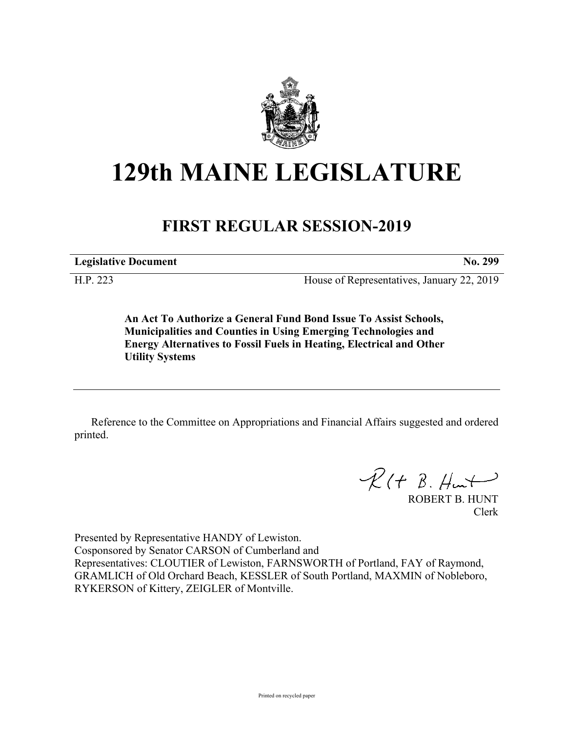

## **129th MAINE LEGISLATURE**

## **FIRST REGULAR SESSION-2019**

**Legislative Document No. 299**

H.P. 223 House of Representatives, January 22, 2019

**An Act To Authorize a General Fund Bond Issue To Assist Schools, Municipalities and Counties in Using Emerging Technologies and Energy Alternatives to Fossil Fuels in Heating, Electrical and Other Utility Systems**

Reference to the Committee on Appropriations and Financial Affairs suggested and ordered printed.

 $R(H B. Hmt)$ 

ROBERT B. HUNT Clerk

Presented by Representative HANDY of Lewiston. Cosponsored by Senator CARSON of Cumberland and Representatives: CLOUTIER of Lewiston, FARNSWORTH of Portland, FAY of Raymond, GRAMLICH of Old Orchard Beach, KESSLER of South Portland, MAXMIN of Nobleboro, RYKERSON of Kittery, ZEIGLER of Montville.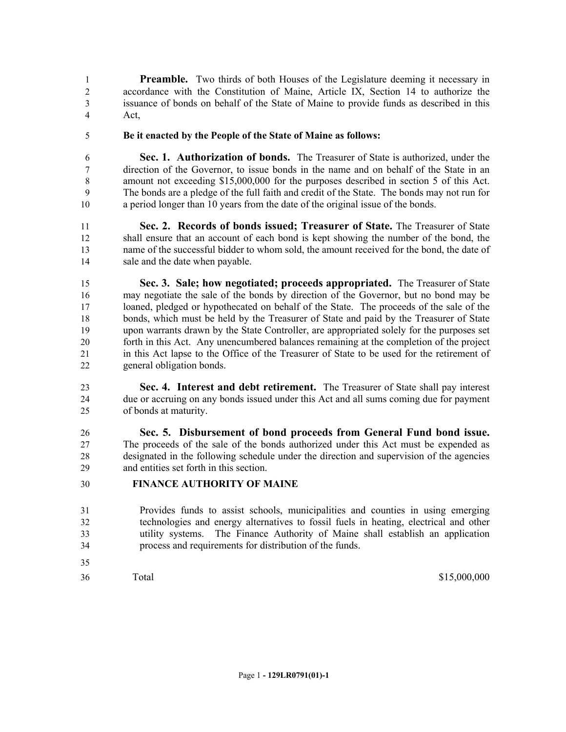**Preamble.** Two thirds of both Houses of the Legislature deeming it necessary in accordance with the Constitution of Maine, Article IX, Section 14 to authorize the issuance of bonds on behalf of the State of Maine to provide funds as described in this Act,

**Be it enacted by the People of the State of Maine as follows:**

 **Sec. 1. Authorization of bonds.** The Treasurer of State is authorized, under the direction of the Governor, to issue bonds in the name and on behalf of the State in an amount not exceeding \$15,000,000 for the purposes described in section 5 of this Act. The bonds are a pledge of the full faith and credit of the State. The bonds may not run for a period longer than 10 years from the date of the original issue of the bonds.

 **Sec. 2. Records of bonds issued; Treasurer of State.** The Treasurer of State shall ensure that an account of each bond is kept showing the number of the bond, the name of the successful bidder to whom sold, the amount received for the bond, the date of sale and the date when payable.

 **Sec. 3. Sale; how negotiated; proceeds appropriated.** The Treasurer of State may negotiate the sale of the bonds by direction of the Governor, but no bond may be loaned, pledged or hypothecated on behalf of the State. The proceeds of the sale of the bonds, which must be held by the Treasurer of State and paid by the Treasurer of State upon warrants drawn by the State Controller, are appropriated solely for the purposes set forth in this Act. Any unencumbered balances remaining at the completion of the project in this Act lapse to the Office of the Treasurer of State to be used for the retirement of general obligation bonds.

 **Sec. 4. Interest and debt retirement.** The Treasurer of State shall pay interest due or accruing on any bonds issued under this Act and all sums coming due for payment of bonds at maturity.

 **Sec. 5. Disbursement of bond proceeds from General Fund bond issue.**  The proceeds of the sale of the bonds authorized under this Act must be expended as designated in the following schedule under the direction and supervision of the agencies and entities set forth in this section.

- **FINANCE AUTHORITY OF MAINE**
- Provides funds to assist schools, municipalities and counties in using emerging technologies and energy alternatives to fossil fuels in heating, electrical and other utility systems. The Finance Authority of Maine shall establish an application process and requirements for distribution of the funds.
- 
- 

Total \$15,000,000 \$15,000,000 \$15,000 \$15,000 \$15,000 \$15,000 \$15,000 \$15,000 \$15,000 \$15,000 \$15,000 \$15,000 \$15,000 \$15,000 \$15,000 \$16,000 \$16,000 \$16,000 \$16,000 \$16,000 \$16,000 \$16,000 \$16,000 \$16,000 \$16,000 \$16,000